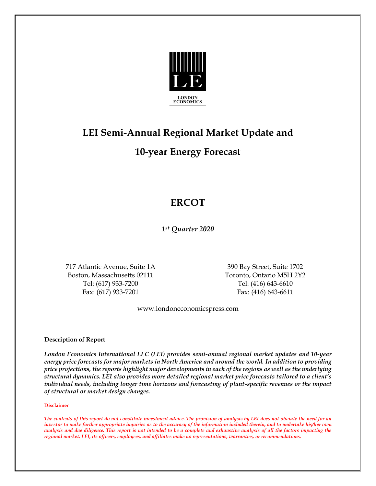

# **LEI Semi-Annual Regional Market Update and**

## **10-year Energy Forecast**

# **ERCOT**

*1st Quarter 2020*

717 Atlantic Avenue, Suite 1A 390 Bay Street, Suite 1702 Boston, Massachusetts 02111 Toronto, Ontario M5H 2Y2 Tel: (617) 933-7200 Tel: (416) 643-6610 Fax: (617) 933-7201 Fax: (416) 643-6611

[www.londoneconomicspress.com](http://www.londoneconomicspress.com/)

**Description of Report**

*London Economics International LLC (LEI) provides semi-annual regional market updates and 10-year energy price forecasts for major markets in North America and around the world. In addition to providing price projections, the reports highlight major developments in each of the regions as well as the underlying structural dynamics. LEI also provides more detailed regional market price forecasts tailored to a client's individual needs, including longer time horizons and forecasting of plant-specific revenues or the impact of structural or market design changes.*

#### **Disclaimer**

*The contents of this report do not constitute investment advice. The provision of analysis by LEI does not obviate the need for an investor to make further appropriate inquiries as to the accuracy of the information included therein, and to undertake his/her own analysis and due diligence. This report is not intended to be a complete and exhaustive analysis of all the factors impacting the regional market. LEI, its officers, employees, and affiliates make no representations, warranties, or recommendations.*